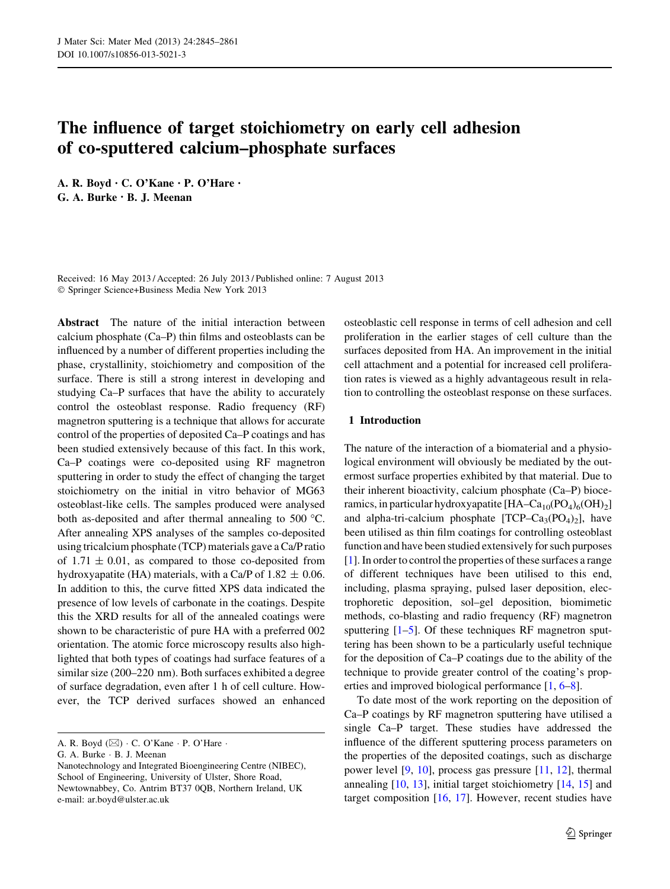# The influence of target stoichiometry on early cell adhesion of co-sputtered calcium–phosphate surfaces

A. R. Boyd • C. O'Kane • P. O'Hare • G. A. Burke • B. J. Meenan

Received: 16 May 2013 / Accepted: 26 July 2013 / Published online: 7 August 2013 - Springer Science+Business Media New York 2013

Abstract The nature of the initial interaction between calcium phosphate (Ca–P) thin films and osteoblasts can be influenced by a number of different properties including the phase, crystallinity, stoichiometry and composition of the surface. There is still a strong interest in developing and studying Ca–P surfaces that have the ability to accurately control the osteoblast response. Radio frequency (RF) magnetron sputtering is a technique that allows for accurate control of the properties of deposited Ca–P coatings and has been studied extensively because of this fact. In this work, Ca–P coatings were co-deposited using RF magnetron sputtering in order to study the effect of changing the target stoichiometry on the initial in vitro behavior of MG63 osteoblast-like cells. The samples produced were analysed both as-deposited and after thermal annealing to 500  $^{\circ}$ C. After annealing XPS analyses of the samples co-deposited using tricalcium phosphate (TCP) materials gave a Ca/P ratio of  $1.71 \pm 0.01$ , as compared to those co-deposited from hydroxyapatite (HA) materials, with a Ca/P of 1.82  $\pm$  0.06. In addition to this, the curve fitted XPS data indicated the presence of low levels of carbonate in the coatings. Despite this the XRD results for all of the annealed coatings were shown to be characteristic of pure HA with a preferred 002 orientation. The atomic force microscopy results also highlighted that both types of coatings had surface features of a similar size (200–220 nm). Both surfaces exhibited a degree of surface degradation, even after 1 h of cell culture. However, the TCP derived surfaces showed an enhanced

G. A. Burke - B. J. Meenan

osteoblastic cell response in terms of cell adhesion and cell proliferation in the earlier stages of cell culture than the surfaces deposited from HA. An improvement in the initial cell attachment and a potential for increased cell proliferation rates is viewed as a highly advantageous result in relation to controlling the osteoblast response on these surfaces.

## 1 Introduction

The nature of the interaction of a biomaterial and a physiological environment will obviously be mediated by the outermost surface properties exhibited by that material. Due to their inherent bioactivity, calcium phosphate (Ca–P) bioceramics, in particular hydroxyapatite  $[HA-Ca_{10}(PO_4)_6(OH)_2]$ and alpha-tri-calcium phosphate  $[TCP–Ca<sub>3</sub>(PO<sub>4</sub>)<sub>2</sub>]$ , have been utilised as thin film coatings for controlling osteoblast function and have been studied extensively for such purposes [\[1](#page-15-0)]. In order to control the properties of these surfaces a range of different techniques have been utilised to this end, including, plasma spraying, pulsed laser deposition, electrophoretic deposition, sol–gel deposition, biomimetic methods, co-blasting and radio frequency (RF) magnetron sputtering  $[1–5]$  $[1–5]$ . Of these techniques RF magnetron sputtering has been shown to be a particularly useful technique for the deposition of Ca–P coatings due to the ability of the technique to provide greater control of the coating's properties and improved biological performance [\[1](#page-15-0), [6–8](#page-15-0)].

To date most of the work reporting on the deposition of Ca–P coatings by RF magnetron sputtering have utilised a single Ca–P target. These studies have addressed the influence of the different sputtering process parameters on the properties of the deposited coatings, such as discharge power level [\[9](#page-15-0), [10\]](#page-15-0), process gas pressure [\[11](#page-15-0), [12\]](#page-15-0), thermal annealing [\[10](#page-15-0), [13\]](#page-16-0), initial target stoichiometry [\[14](#page-16-0), [15\]](#page-16-0) and target composition [[16,](#page-16-0) [17](#page-16-0)]. However, recent studies have

A. R. Boyd  $(\boxtimes) \cdot C$ . O'Kane  $\cdot P$ . O'Hare  $\cdot$ 

Nanotechnology and Integrated Bioengineering Centre (NIBEC), School of Engineering, University of Ulster, Shore Road, Newtownabbey, Co. Antrim BT37 0QB, Northern Ireland, UK e-mail: ar.boyd@ulster.ac.uk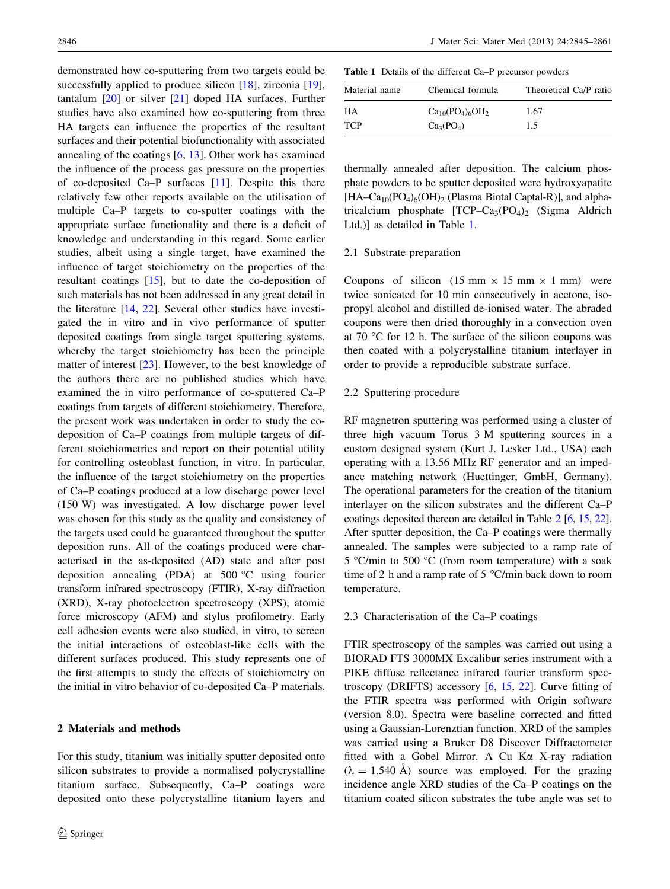demonstrated how co-sputtering from two targets could be successfully applied to produce silicon [\[18](#page-16-0)], zirconia [\[19](#page-16-0)], tantalum [[20\]](#page-16-0) or silver [[21\]](#page-16-0) doped HA surfaces. Further studies have also examined how co-sputtering from three HA targets can influence the properties of the resultant surfaces and their potential biofunctionality with associated annealing of the coatings [\[6,](#page-15-0) [13\]](#page-16-0). Other work has examined the influence of the process gas pressure on the properties of co-deposited Ca–P surfaces [\[11](#page-15-0)]. Despite this there relatively few other reports available on the utilisation of multiple Ca–P targets to co-sputter coatings with the appropriate surface functionality and there is a deficit of knowledge and understanding in this regard. Some earlier studies, albeit using a single target, have examined the influence of target stoichiometry on the properties of the resultant coatings [[15\]](#page-16-0), but to date the co-deposition of such materials has not been addressed in any great detail in the literature [[14,](#page-16-0) [22\]](#page-16-0). Several other studies have investigated the in vitro and in vivo performance of sputter deposited coatings from single target sputtering systems, whereby the target stoichiometry has been the principle matter of interest [\[23](#page-16-0)]. However, to the best knowledge of the authors there are no published studies which have examined the in vitro performance of co-sputtered Ca–P coatings from targets of different stoichiometry. Therefore, the present work was undertaken in order to study the codeposition of Ca–P coatings from multiple targets of different stoichiometries and report on their potential utility for controlling osteoblast function, in vitro. In particular, the influence of the target stoichiometry on the properties of Ca–P coatings produced at a low discharge power level (150 W) was investigated. A low discharge power level was chosen for this study as the quality and consistency of the targets used could be guaranteed throughout the sputter deposition runs. All of the coatings produced were characterised in the as-deposited (AD) state and after post deposition annealing (PDA) at  $500 °C$  using fourier transform infrared spectroscopy (FTIR), X-ray diffraction (XRD), X-ray photoelectron spectroscopy (XPS), atomic force microscopy (AFM) and stylus profilometry. Early cell adhesion events were also studied, in vitro, to screen the initial interactions of osteoblast-like cells with the different surfaces produced. This study represents one of the first attempts to study the effects of stoichiometry on the initial in vitro behavior of co-deposited Ca–P materials.

# 2 Materials and methods

For this study, titanium was initially sputter deposited onto silicon substrates to provide a normalised polycrystalline titanium surface. Subsequently, Ca–P coatings were deposited onto these polycrystalline titanium layers and

Table 1 Details of the different Ca–P precursor powders

| Material name | Chemical formula                   | Theoretical Ca/P ratio |
|---------------|------------------------------------|------------------------|
| HA            | $Ca_{10}(PO_4)_6OH_2$              | 1.67                   |
| <b>TCP</b>    | Ca <sub>3</sub> (PO <sub>4</sub> ) | 1.5                    |

thermally annealed after deposition. The calcium phosphate powders to be sputter deposited were hydroxyapatite  $[HA–Ca<sub>10</sub>(PO<sub>4</sub>)<sub>6</sub>(OH)<sub>2</sub>$  (Plasma Biotal Captal-R)], and alphatricalcium phosphate  $[TCP–Ca<sub>3</sub>(PO<sub>4</sub>)<sub>2</sub>$  (Sigma Aldrich Ltd.)] as detailed in Table 1.

# 2.1 Substrate preparation

Coupons of silicon  $(15 \text{ mm} \times 15 \text{ mm} \times 1 \text{ mm})$  were twice sonicated for 10 min consecutively in acetone, isopropyl alcohol and distilled de-ionised water. The abraded coupons were then dried thoroughly in a convection oven at 70  $\degree$ C for 12 h. The surface of the silicon coupons was then coated with a polycrystalline titanium interlayer in order to provide a reproducible substrate surface.

#### 2.2 Sputtering procedure

RF magnetron sputtering was performed using a cluster of three high vacuum Torus 3 M sputtering sources in a custom designed system (Kurt J. Lesker Ltd., USA) each operating with a 13.56 MHz RF generator and an impedance matching network (Huettinger, GmbH, Germany). The operational parameters for the creation of the titanium interlayer on the silicon substrates and the different Ca–P coatings deposited thereon are detailed in Table [2](#page-2-0) [[6](#page-15-0), [15](#page-16-0), [22\]](#page-16-0). After sputter deposition, the Ca–P coatings were thermally annealed. The samples were subjected to a ramp rate of 5 °C/min to 500 °C (from room temperature) with a soak time of 2 h and a ramp rate of 5  $\degree$ C/min back down to room temperature.

## 2.3 Characterisation of the Ca–P coatings

FTIR spectroscopy of the samples was carried out using a BIORAD FTS 3000MX Excalibur series instrument with a PIKE diffuse reflectance infrared fourier transform spectroscopy (DRIFTS) accessory [\[6](#page-15-0), [15](#page-16-0), [22](#page-16-0)]. Curve fitting of the FTIR spectra was performed with Origin software (version 8.0). Spectra were baseline corrected and fitted using a Gaussian-Lorenztian function. XRD of the samples was carried using a Bruker D8 Discover Diffractometer fitted with a Gobel Mirror. A Cu Ka X-ray radiation  $(\lambda = 1.540 \text{ Å})$  source was employed. For the grazing incidence angle XRD studies of the Ca–P coatings on the titanium coated silicon substrates the tube angle was set to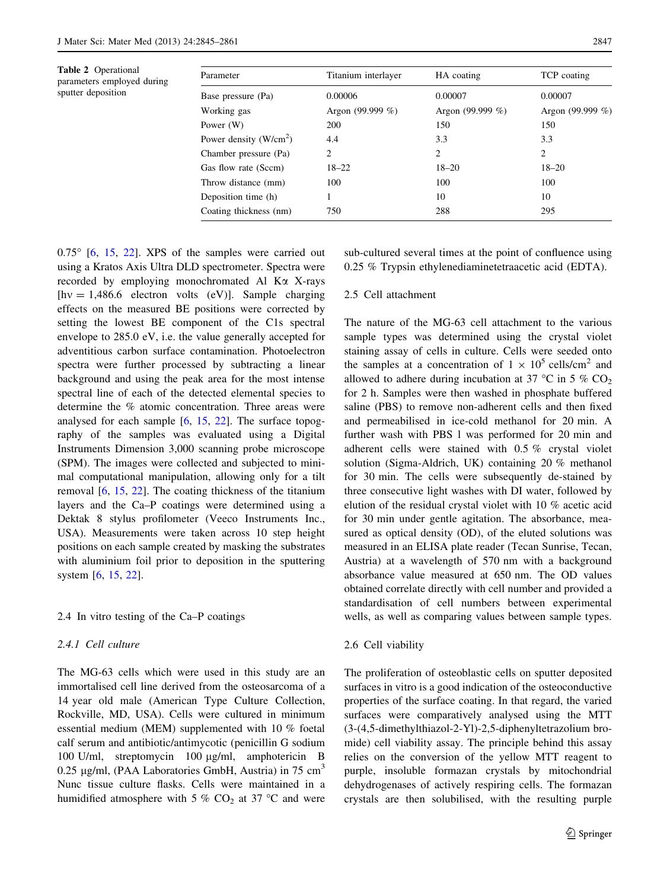<span id="page-2-0"></span>Table 2 Operational parameters employed during sputter deposition

|                     |                     | TCP coating         |
|---------------------|---------------------|---------------------|
| 0.00006             | 0.00007             | 0.00007             |
| Argon (99.999 $%$ ) | Argon (99.999 $%$ ) | Argon (99.999 $%$ ) |
| 200                 | 150                 | 150                 |
| 4.4                 | 3.3                 | 3.3                 |
| 2                   | 2                   | 2                   |
| $18 - 22$           | $18 - 20$           | $18 - 20$           |
| 100                 | 100                 | 100                 |
|                     | 10                  | 10                  |
| 750                 | 288                 | 295                 |
|                     |                     |                     |

 $0.75^{\circ}$  [\[6](#page-15-0), [15,](#page-16-0) [22\]](#page-16-0). XPS of the samples were carried out using a Kratos Axis Ultra DLD spectrometer. Spectra were recorded by employing monochromated Al Ka X-rays  $[hv = 1,486.6$  electron volts (eV)]. Sample charging effects on the measured BE positions were corrected by setting the lowest BE component of the C1s spectral envelope to 285.0 eV, i.e. the value generally accepted for adventitious carbon surface contamination. Photoelectron spectra were further processed by subtracting a linear background and using the peak area for the most intense spectral line of each of the detected elemental species to determine the % atomic concentration. Three areas were analysed for each sample [\[6](#page-15-0), [15,](#page-16-0) [22](#page-16-0)]. The surface topography of the samples was evaluated using a Digital Instruments Dimension 3,000 scanning probe microscope (SPM). The images were collected and subjected to minimal computational manipulation, allowing only for a tilt removal [[6,](#page-15-0) [15](#page-16-0), [22](#page-16-0)]. The coating thickness of the titanium layers and the Ca–P coatings were determined using a Dektak 8 stylus profilometer (Veeco Instruments Inc., USA). Measurements were taken across 10 step height positions on each sample created by masking the substrates with aluminium foil prior to deposition in the sputtering system [\[6](#page-15-0), [15](#page-16-0), [22](#page-16-0)].

## 2.4 In vitro testing of the Ca–P coatings

# 2.4.1 Cell culture

The MG-63 cells which were used in this study are an immortalised cell line derived from the osteosarcoma of a 14 year old male (American Type Culture Collection, Rockville, MD, USA). Cells were cultured in minimum essential medium (MEM) supplemented with 10 % foetal calf serum and antibiotic/antimycotic (penicillin G sodium 100 U/ml, streptomycin 100 μg/ml, amphotericin B 0.25  $\mu$ g/ml, (PAA Laboratories GmbH, Austria) in 75 cm<sup>3</sup> Nunc tissue culture flasks. Cells were maintained in a humidified atmosphere with 5 %  $CO<sub>2</sub>$  at 37 °C and were sub-cultured several times at the point of confluence using 0.25 % Trypsin ethylenediaminetetraacetic acid (EDTA).

# 2.5 Cell attachment

The nature of the MG-63 cell attachment to the various sample types was determined using the crystal violet staining assay of cells in culture. Cells were seeded onto the samples at a concentration of  $1 \times 10^5$  cells/cm<sup>2</sup> and allowed to adhere during incubation at 37 °C in 5 %  $CO<sub>2</sub>$ for 2 h. Samples were then washed in phosphate buffered saline (PBS) to remove non-adherent cells and then fixed and permeabilised in ice-cold methanol for 20 min. A further wash with PBS l was performed for 20 min and adherent cells were stained with 0.5 % crystal violet solution (Sigma-Aldrich, UK) containing 20 % methanol for 30 min. The cells were subsequently de-stained by three consecutive light washes with DI water, followed by elution of the residual crystal violet with 10 % acetic acid for 30 min under gentle agitation. The absorbance, measured as optical density (OD), of the eluted solutions was measured in an ELISA plate reader (Tecan Sunrise, Tecan, Austria) at a wavelength of 570 nm with a background absorbance value measured at 650 nm. The OD values obtained correlate directly with cell number and provided a standardisation of cell numbers between experimental wells, as well as comparing values between sample types.

## 2.6 Cell viability

The proliferation of osteoblastic cells on sputter deposited surfaces in vitro is a good indication of the osteoconductive properties of the surface coating. In that regard, the varied surfaces were comparatively analysed using the MTT (3-(4,5-dimethylthiazol-2-Yl)-2,5-diphenyltetrazolium bromide) cell viability assay. The principle behind this assay relies on the conversion of the yellow MTT reagent to purple, insoluble formazan crystals by mitochondrial dehydrogenases of actively respiring cells. The formazan crystals are then solubilised, with the resulting purple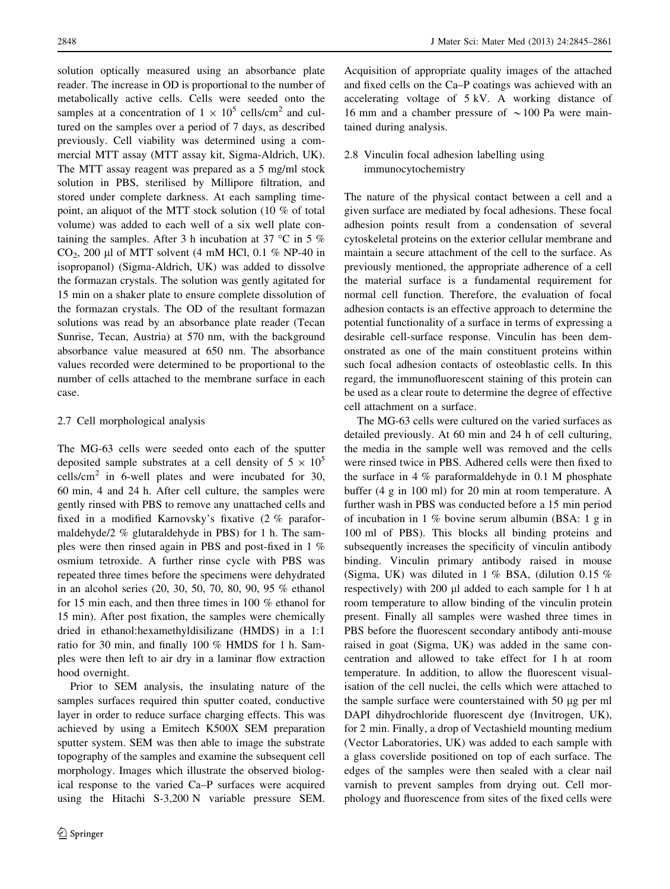solution optically measured using an absorbance plate reader. The increase in OD is proportional to the number of metabolically active cells. Cells were seeded onto the samples at a concentration of  $1 \times 10^5$  cells/cm<sup>2</sup> and cultured on the samples over a period of 7 days, as described previously. Cell viability was determined using a commercial MTT assay (MTT assay kit, Sigma-Aldrich, UK). The MTT assay reagent was prepared as a 5 mg/ml stock solution in PBS, sterilised by Millipore filtration, and stored under complete darkness. At each sampling timepoint, an aliquot of the MTT stock solution (10 % of total volume) was added to each well of a six well plate containing the samples. After 3 h incubation at 37 °C in 5 % CO<sub>2</sub>, 200 µl of MTT solvent (4 mM HCl, 0.1 % NP-40 in isopropanol) (Sigma-Aldrich, UK) was added to dissolve the formazan crystals. The solution was gently agitated for 15 min on a shaker plate to ensure complete dissolution of the formazan crystals. The OD of the resultant formazan solutions was read by an absorbance plate reader (Tecan Sunrise, Tecan, Austria) at 570 nm, with the background absorbance value measured at 650 nm. The absorbance values recorded were determined to be proportional to the number of cells attached to the membrane surface in each case.

# 2.7 Cell morphological analysis

The MG-63 cells were seeded onto each of the sputter deposited sample substrates at a cell density of  $5 \times 10^5$ cells/cm<sup>2</sup> in 6-well plates and were incubated for 30, 60 min, 4 and 24 h. After cell culture, the samples were gently rinsed with PBS to remove any unattached cells and fixed in a modified Karnovsky's fixative (2 % paraformaldehyde/2 % glutaraldehyde in PBS) for 1 h. The samples were then rinsed again in PBS and post-fixed in 1 % osmium tetroxide. A further rinse cycle with PBS was repeated three times before the specimens were dehydrated in an alcohol series (20, 30, 50, 70, 80, 90, 95 % ethanol for 15 min each, and then three times in 100 % ethanol for 15 min). After post fixation, the samples were chemically dried in ethanol:hexamethyldisilizane (HMDS) in a 1:1 ratio for 30 min, and finally 100 % HMDS for 1 h. Samples were then left to air dry in a laminar flow extraction hood overnight.

Prior to SEM analysis, the insulating nature of the samples surfaces required thin sputter coated, conductive layer in order to reduce surface charging effects. This was achieved by using a Emitech K500X SEM preparation sputter system. SEM was then able to image the substrate topography of the samples and examine the subsequent cell morphology. Images which illustrate the observed biological response to the varied Ca–P surfaces were acquired using the Hitachi S-3,200 N variable pressure SEM.

Acquisition of appropriate quality images of the attached and fixed cells on the Ca–P coatings was achieved with an accelerating voltage of 5 kV. A working distance of 16 mm and a chamber pressure of  $\sim$  100 Pa were maintained during analysis.

# 2.8 Vinculin focal adhesion labelling using immunocytochemistry

The nature of the physical contact between a cell and a given surface are mediated by focal adhesions. These focal adhesion points result from a condensation of several cytoskeletal proteins on the exterior cellular membrane and maintain a secure attachment of the cell to the surface. As previously mentioned, the appropriate adherence of a cell the material surface is a fundamental requirement for normal cell function. Therefore, the evaluation of focal adhesion contacts is an effective approach to determine the potential functionality of a surface in terms of expressing a desirable cell-surface response. Vinculin has been demonstrated as one of the main constituent proteins within such focal adhesion contacts of osteoblastic cells. In this regard, the immunofluorescent staining of this protein can be used as a clear route to determine the degree of effective cell attachment on a surface.

The MG-63 cells were cultured on the varied surfaces as detailed previously. At 60 min and 24 h of cell culturing, the media in the sample well was removed and the cells were rinsed twice in PBS. Adhered cells were then fixed to the surface in 4 % paraformaldehyde in 0.1 M phosphate buffer (4 g in 100 ml) for 20 min at room temperature. A further wash in PBS was conducted before a 15 min period of incubation in 1 % bovine serum albumin (BSA: 1 g in 100 ml of PBS). This blocks all binding proteins and subsequently increases the specificity of vinculin antibody binding. Vinculin primary antibody raised in mouse (Sigma, UK) was diluted in 1 % BSA, (dilution 0.15 % respectively) with 200 µl added to each sample for 1 h at room temperature to allow binding of the vinculin protein present. Finally all samples were washed three times in PBS before the fluorescent secondary antibody anti-mouse raised in goat (Sigma, UK) was added in the same concentration and allowed to take effect for 1 h at room temperature. In addition, to allow the fluorescent visualisation of the cell nuclei, the cells which were attached to the sample surface were counterstained with  $50 \mu$ g per ml DAPI dihydrochloride fluorescent dye (Invitrogen, UK), for 2 min. Finally, a drop of Vectashield mounting medium (Vector Laboratories, UK) was added to each sample with a glass coverslide positioned on top of each surface. The edges of the samples were then sealed with a clear nail varnish to prevent samples from drying out. Cell morphology and fluorescence from sites of the fixed cells were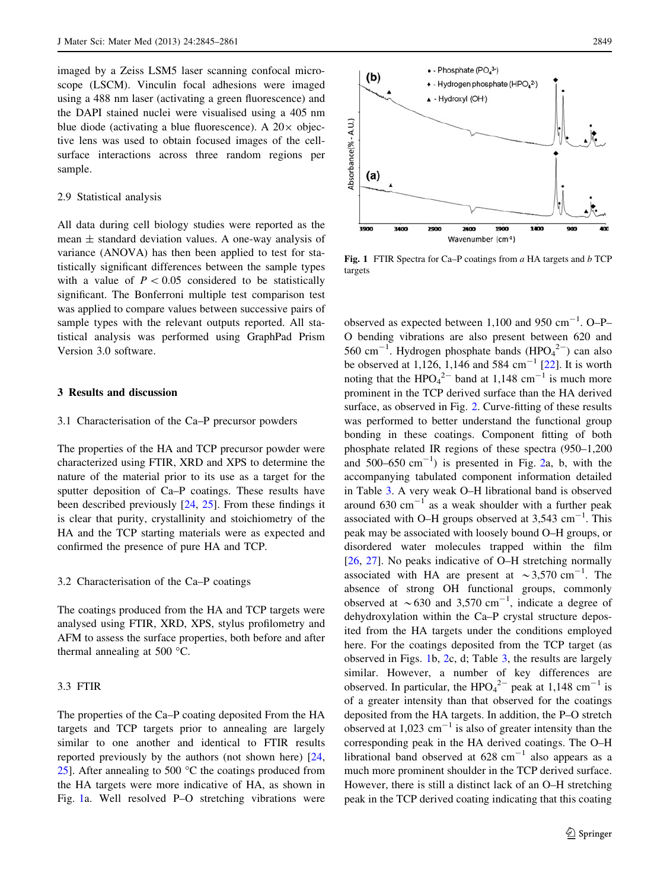imaged by a Zeiss LSM5 laser scanning confocal microscope (LSCM). Vinculin focal adhesions were imaged using a 488 nm laser (activating a green fluorescence) and the DAPI stained nuclei were visualised using a 405 nm blue diode (activating a blue fluorescence). A  $20 \times$  objective lens was used to obtain focused images of the cellsurface interactions across three random regions per sample.

#### 2.9 Statistical analysis

All data during cell biology studies were reported as the mean  $\pm$  standard deviation values. A one-way analysis of variance (ANOVA) has then been applied to test for statistically significant differences between the sample types with a value of  $P < 0.05$  considered to be statistically significant. The Bonferroni multiple test comparison test was applied to compare values between successive pairs of sample types with the relevant outputs reported. All statistical analysis was performed using GraphPad Prism Version 3.0 software.

# 3 Results and discussion

# 3.1 Characterisation of the Ca–P precursor powders

The properties of the HA and TCP precursor powder were characterized using FTIR, XRD and XPS to determine the nature of the material prior to its use as a target for the sputter deposition of Ca–P coatings. These results have been described previously [[24,](#page-16-0) [25\]](#page-16-0). From these findings it is clear that purity, crystallinity and stoichiometry of the HA and the TCP starting materials were as expected and confirmed the presence of pure HA and TCP.

#### 3.2 Characterisation of the Ca–P coatings

The coatings produced from the HA and TCP targets were analysed using FTIR, XRD, XPS, stylus profilometry and AFM to assess the surface properties, both before and after thermal annealing at 500  $^{\circ}$ C.

## 3.3 FTIR

The properties of the Ca–P coating deposited From the HA targets and TCP targets prior to annealing are largely similar to one another and identical to FTIR results reported previously by the authors (not shown here) [[24,](#page-16-0) [25\]](#page-16-0). After annealing to 500  $^{\circ}$ C the coatings produced from the HA targets were more indicative of HA, as shown in Fig. 1a. Well resolved P–O stretching vibrations were



Fig. 1 FTIR Spectra for Ca–P coatings from  $a$  HA targets and  $b$  TCP targets

observed as expected between  $1,100$  and  $950$  cm<sup>-1</sup>. O-P-O bending vibrations are also present between 620 and 560 cm<sup>-1</sup>. Hydrogen phosphate bands  $(HPO<sub>4</sub><sup>2–</sup>)$  can also be observed at 1,126, 1,146 and 584 cm<sup>-1</sup> [[22\]](#page-16-0). It is worth noting that the  $HPO<sub>4</sub><sup>2–</sup>$  band at 1,148 cm<sup>-1</sup> is much more prominent in the TCP derived surface than the HA derived surface, as observed in Fig. [2](#page-5-0). Curve-fitting of these results was performed to better understand the functional group bonding in these coatings. Component fitting of both phosphate related IR regions of these spectra (950–1,200 and  $500-650$  cm<sup>-1</sup>) is presented in Fig. [2](#page-5-0)a, b, with the accompanying tabulated component information detailed in Table [3](#page-6-0). A very weak O–H librational band is observed around  $630 \text{ cm}^{-1}$  as a weak shoulder with a further peak associated with O-H groups observed at  $3,543$  cm<sup>-1</sup>. This peak may be associated with loosely bound O–H groups, or disordered water molecules trapped within the film [\[26](#page-16-0), [27\]](#page-16-0). No peaks indicative of O–H stretching normally associated with HA are present at  $\sim$ 3,570 cm<sup>-1</sup>. The absence of strong OH functional groups, commonly observed at  $\sim 630$  and 3,570 cm<sup>-1</sup>, indicate a degree of dehydroxylation within the Ca–P crystal structure deposited from the HA targets under the conditions employed here. For the coatings deposited from the TCP target (as observed in Figs. 1b, [2](#page-5-0)c, d; Table [3](#page-6-0), the results are largely similar. However, a number of key differences are observed. In particular, the  $HPO<sub>4</sub><sup>2–</sup>$  peak at 1,148 cm<sup>-1</sup> is of a greater intensity than that observed for the coatings deposited from the HA targets. In addition, the P–O stretch observed at  $1,023$  cm<sup>-1</sup> is also of greater intensity than the corresponding peak in the HA derived coatings. The O–H librational band observed at  $628 \text{ cm}^{-1}$  also appears as a much more prominent shoulder in the TCP derived surface. However, there is still a distinct lack of an O–H stretching peak in the TCP derived coating indicating that this coating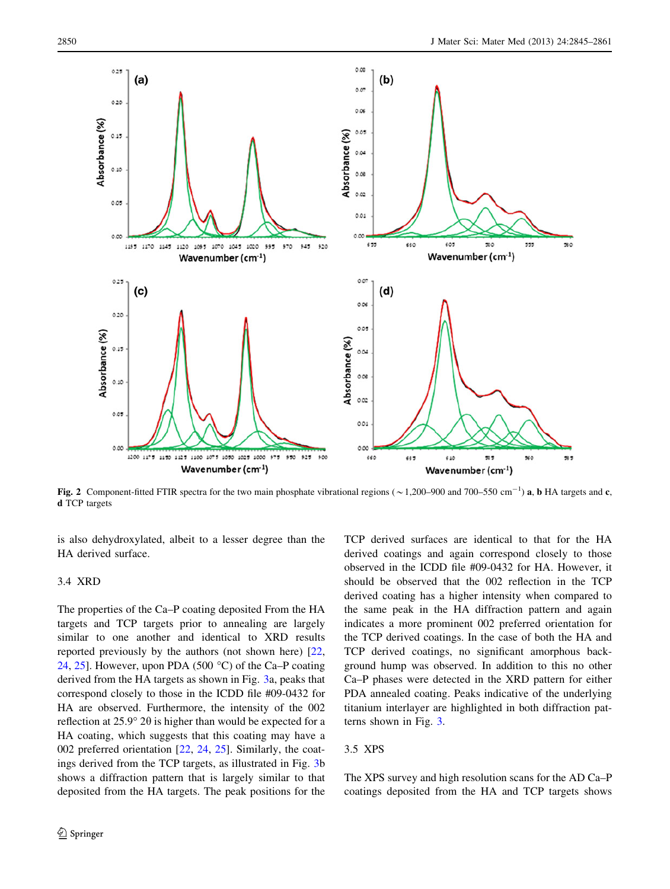<span id="page-5-0"></span>

Fig. 2 Component-fitted FTIR spectra for the two main phosphate vibrational regions ( $\sim$ 1,200–900 and 700–550 cm<sup>-1</sup>) a, b HA targets and c, d TCP targets

is also dehydroxylated, albeit to a lesser degree than the HA derived surface.

# 3.4 XRD

The properties of the Ca–P coating deposited From the HA targets and TCP targets prior to annealing are largely similar to one another and identical to XRD results reported previously by the authors (not shown here) [[22,](#page-16-0) [24](#page-16-0), [25](#page-16-0)]. However, upon PDA (500  $^{\circ}$ C) of the Ca–P coating derived from the HA targets as shown in Fig. [3](#page-6-0)a, peaks that correspond closely to those in the ICDD file #09-0432 for HA are observed. Furthermore, the intensity of the 002 reflection at  $25.9^{\circ}$  2 $\theta$  is higher than would be expected for a HA coating, which suggests that this coating may have a 002 preferred orientation [[22,](#page-16-0) [24](#page-16-0), [25](#page-16-0)]. Similarly, the coatings derived from the TCP targets, as illustrated in Fig. [3](#page-6-0)b shows a diffraction pattern that is largely similar to that deposited from the HA targets. The peak positions for the TCP derived surfaces are identical to that for the HA derived coatings and again correspond closely to those observed in the ICDD file #09-0432 for HA. However, it should be observed that the 002 reflection in the TCP derived coating has a higher intensity when compared to the same peak in the HA diffraction pattern and again indicates a more prominent 002 preferred orientation for the TCP derived coatings. In the case of both the HA and TCP derived coatings, no significant amorphous background hump was observed. In addition to this no other Ca–P phases were detected in the XRD pattern for either PDA annealed coating. Peaks indicative of the underlying titanium interlayer are highlighted in both diffraction patterns shown in Fig. [3](#page-6-0).

# 3.5 XPS

The XPS survey and high resolution scans for the AD Ca–P coatings deposited from the HA and TCP targets shows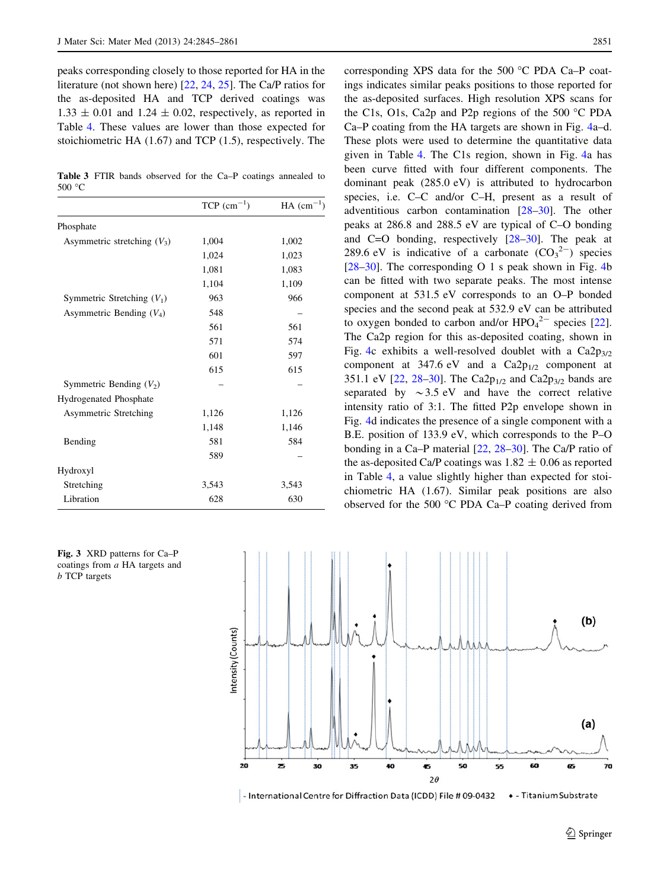<span id="page-6-0"></span>peaks corresponding closely to those reported for HA in the literature (not shown here) [[22,](#page-16-0) [24,](#page-16-0) [25\]](#page-16-0). The Ca/P ratios for the as-deposited HA and TCP derived coatings was  $1.33 \pm 0.01$  and  $1.24 \pm 0.02$ , respectively, as reported in Table [4](#page-7-0). These values are lower than those expected for stoichiometric HA (1.67) and TCP (1.5), respectively. The

Table 3 FTIR bands observed for the Ca–P coatings annealed to 500 °C

|                               | $TCP (cm^{-1})$ | $HA$ (cm <sup>-1</sup> ) |
|-------------------------------|-----------------|--------------------------|
| Phosphate                     |                 |                          |
| Asymmetric stretching $(V_3)$ | 1,004           | 1,002                    |
|                               | 1,024           | 1,023                    |
|                               | 1,081           | 1,083                    |
|                               | 1,104           | 1,109                    |
| Symmetric Stretching $(V_1)$  | 963             | 966                      |
| Asymmetric Bending $(V_4)$    | 548             |                          |
|                               | 561             | 561                      |
|                               | 571             | 574                      |
|                               | 601             | 597                      |
|                               | 615             | 615                      |
| Symmetric Bending $(V_2)$     |                 |                          |
| <b>Hydrogenated Phosphate</b> |                 |                          |
| <b>Asymmetric Stretching</b>  | 1,126           | 1,126                    |
|                               | 1,148           | 1,146                    |
| Bending                       | 581             | 584                      |
|                               | 589             |                          |
| Hydroxyl                      |                 |                          |
| Stretching                    | 3,543           | 3,543                    |
| Libration                     | 628             | 630                      |

Fig. 3 XRD patterns for Ca–P coatings from a HA targets and b TCP targets

corresponding XPS data for the 500  $^{\circ}$ C PDA Ca–P coatings indicates similar peaks positions to those reported for the as-deposited surfaces. High resolution XPS scans for the C1s, O1s, Ca2p and P2p regions of the 500  $\degree$ C PDA Ca–P coating from the HA targets are shown in Fig. [4](#page-7-0)a–d. These plots were used to determine the quantitative data given in Table [4](#page-7-0). The C1s region, shown in Fig. [4](#page-7-0)a has been curve fitted with four different components. The dominant peak (285.0 eV) is attributed to hydrocarbon species, i.e. C–C and/or C–H, present as a result of adventitious carbon contamination [[28–30\]](#page-16-0). The other peaks at 286.8 and 288.5 eV are typical of C–O bonding and C=O bonding, respectively [[28–30\]](#page-16-0). The peak at 289.6 eV is indicative of a carbonate  $(CO_3^2)$  species [\[28–30](#page-16-0)]. The corresponding O 1 s peak shown in Fig. [4](#page-7-0)b can be fitted with two separate peaks. The most intense component at 531.5 eV corresponds to an O–P bonded species and the second peak at 532.9 eV can be attributed to oxygen bonded to carbon and/or  $HPO<sub>4</sub><sup>2–</sup>$  species [\[22](#page-16-0)]. The Ca2p region for this as-deposited coating, shown in Fig. [4](#page-7-0)c exhibits a well-resolved doublet with a  $Ca2p_{3/2}$ component at 347.6 eV and a  $Ca2p_{1/2}$  component at 351.1 eV [\[22](#page-16-0), 28-30]. The Ca2 $p_{1/2}$  and Ca2 $p_{3/2}$  bands are separated by  $\sim$  3.5 eV and have the correct relative intensity ratio of 3:1. The fitted P2p envelope shown in Fig. [4](#page-7-0)d indicates the presence of a single component with a B.E. position of 133.9 eV, which corresponds to the P–O bonding in a Ca–P material [\[22](#page-16-0), [28–30\]](#page-16-0). The Ca/P ratio of the as-deposited Ca/P coatings was  $1.82 \pm 0.06$  as reported in Table [4,](#page-7-0) a value slightly higher than expected for stoichiometric HA (1.67). Similar peak positions are also observed for the 500  $\degree$ C PDA Ca–P coating derived from



- International Centre for Diffraction Data (ICDD) File # 09-0432 • - Titanium Substrate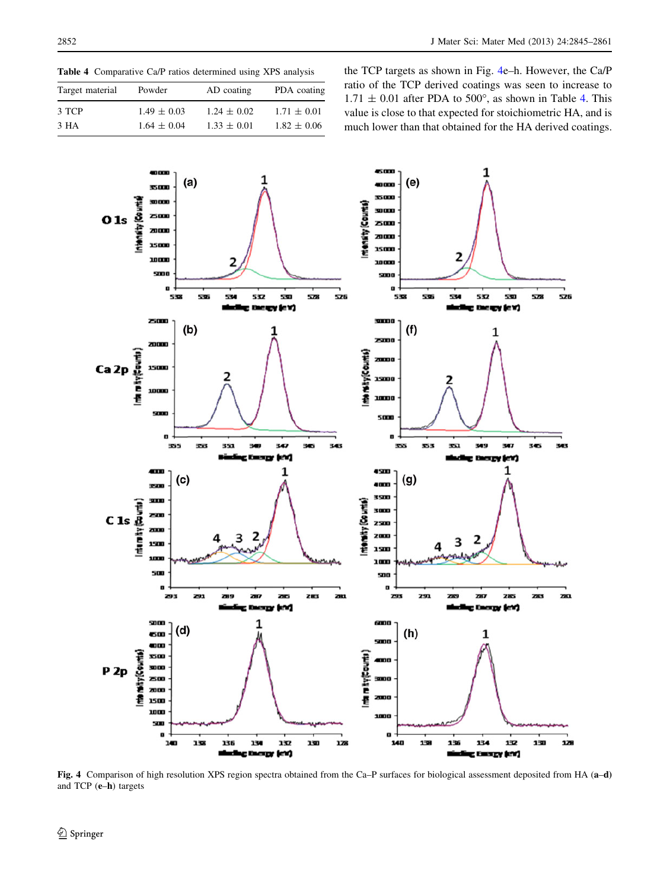<span id="page-7-0"></span>Table 4 Comparative Ca/P ratios determined using XPS analysis

| Target material | Powder          | AD coating      | PDA coating     |
|-----------------|-----------------|-----------------|-----------------|
| 3 TCP           | $1.49 \pm 0.03$ | $1.24 \pm 0.02$ | $1.71 \pm 0.01$ |
| 3 HA            | $1.64 \pm 0.04$ | $1.33 \pm 0.01$ | $1.82 \pm 0.06$ |

the TCP targets as shown in Fig. 4e–h. However, the Ca/P ratio of the TCP derived coatings was seen to increase to  $1.71 \pm 0.01$  after PDA to 500°, as shown in Table 4. This value is close to that expected for stoichiometric HA, and is much lower than that obtained for the HA derived coatings.



Fig. 4 Comparison of high resolution XPS region spectra obtained from the Ca–P surfaces for biological assessment deposited from HA (a–d) and TCP (e–h) targets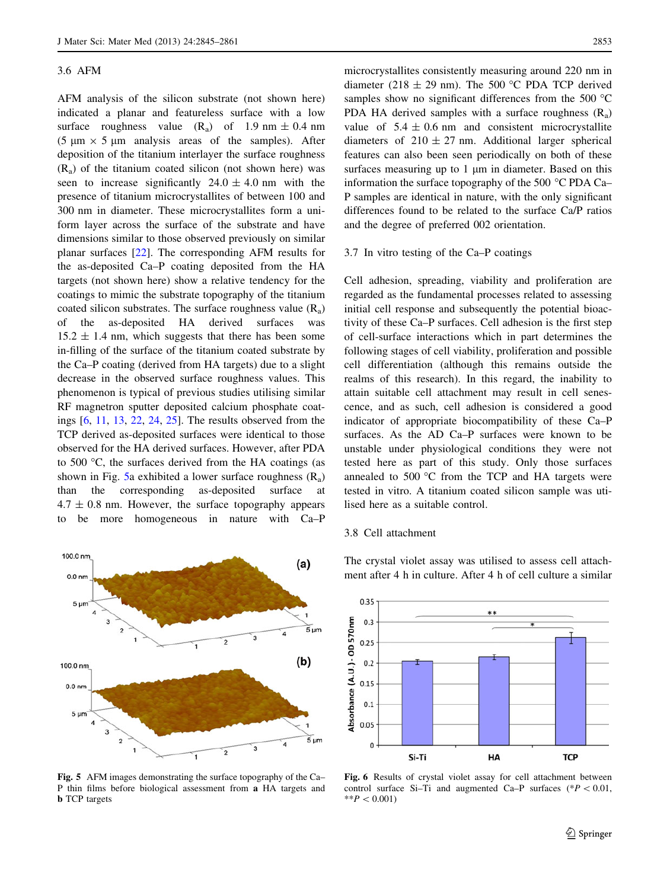#### <span id="page-8-0"></span>3.6 AFM

AFM analysis of the silicon substrate (not shown here) indicated a planar and featureless surface with a low surface roughness value  $(R_a)$  of 1.9 nm  $\pm$  0.4 nm (5  $\mu$ m  $\times$  5  $\mu$ m analysis areas of the samples). After deposition of the titanium interlayer the surface roughness  $(R<sub>a</sub>)$  of the titanium coated silicon (not shown here) was seen to increase significantly  $24.0 \pm 4.0$  nm with the presence of titanium microcrystallites of between 100 and 300 nm in diameter. These microcrystallites form a uniform layer across the surface of the substrate and have dimensions similar to those observed previously on similar planar surfaces [\[22](#page-16-0)]. The corresponding AFM results for the as-deposited Ca–P coating deposited from the HA targets (not shown here) show a relative tendency for the coatings to mimic the substrate topography of the titanium coated silicon substrates. The surface roughness value  $(R_a)$ of the as-deposited HA derived surfaces was  $15.2 \pm 1.4$  nm, which suggests that there has been some in-filling of the surface of the titanium coated substrate by the Ca–P coating (derived from HA targets) due to a slight decrease in the observed surface roughness values. This phenomenon is typical of previous studies utilising similar RF magnetron sputter deposited calcium phosphate coatings [\[6](#page-15-0), [11,](#page-15-0) [13,](#page-16-0) [22](#page-16-0), [24](#page-16-0), [25\]](#page-16-0). The results observed from the TCP derived as-deposited surfaces were identical to those observed for the HA derived surfaces. However, after PDA to 500  $\degree$ C, the surfaces derived from the HA coatings (as shown in Fig. 5a exhibited a lower surface roughness  $(R_a)$ than the corresponding as-deposited surface at  $4.7 \pm 0.8$  nm. However, the surface topography appears to be more homogeneous in nature with Ca–P



Fig. 5 AFM images demonstrating the surface topography of the Ca– P thin films before biological assessment from a HA targets and **b** TCP targets

microcrystallites consistently measuring around 220 nm in diameter (218  $\pm$  29 nm). The 500 °C PDA TCP derived samples show no significant differences from the 500  $^{\circ}$ C PDA HA derived samples with a surface roughness  $(R<sub>a</sub>)$ value of  $5.4 \pm 0.6$  nm and consistent microcrystallite diameters of  $210 \pm 27$  nm. Additional larger spherical features can also been seen periodically on both of these surfaces measuring up to  $1 \mu m$  in diameter. Based on this information the surface topography of the 500  $^{\circ}$ C PDA Ca– P samples are identical in nature, with the only significant differences found to be related to the surface Ca/P ratios and the degree of preferred 002 orientation.

## 3.7 In vitro testing of the Ca–P coatings

Cell adhesion, spreading, viability and proliferation are regarded as the fundamental processes related to assessing initial cell response and subsequently the potential bioactivity of these Ca–P surfaces. Cell adhesion is the first step of cell-surface interactions which in part determines the following stages of cell viability, proliferation and possible cell differentiation (although this remains outside the realms of this research). In this regard, the inability to attain suitable cell attachment may result in cell senescence, and as such, cell adhesion is considered a good indicator of appropriate biocompatibility of these Ca–P surfaces. As the AD Ca–P surfaces were known to be unstable under physiological conditions they were not tested here as part of this study. Only those surfaces annealed to  $500 \degree C$  from the TCP and HA targets were tested in vitro. A titanium coated silicon sample was utilised here as a suitable control.

# 3.8 Cell attachment

The crystal violet assay was utilised to assess cell attachment after 4 h in culture. After 4 h of cell culture a similar



Fig. 6 Results of crystal violet assay for cell attachment between control surface Si–Ti and augmented Ca–P surfaces ( $P < 0.01$ ,  $*$  $P < 0.001$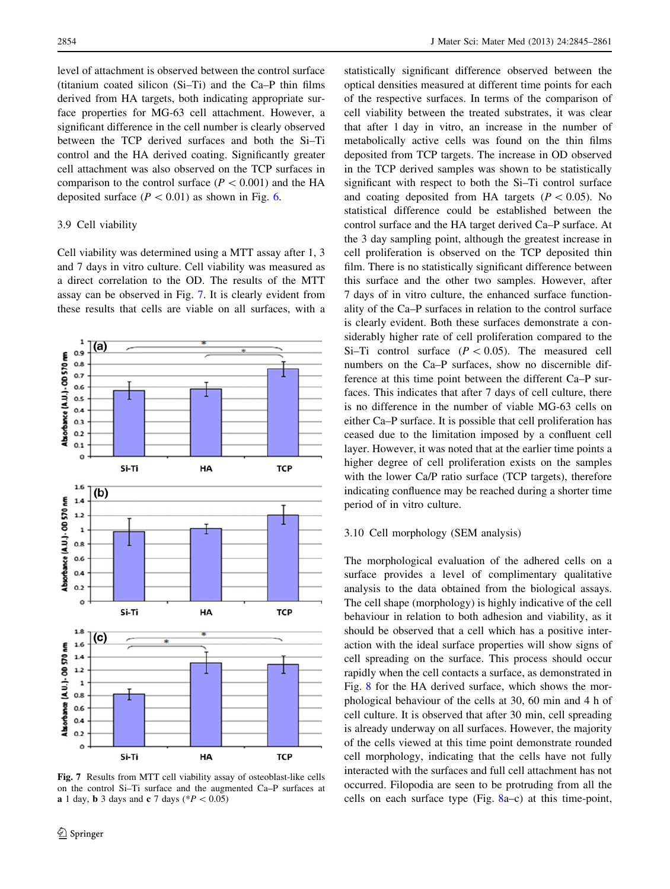level of attachment is observed between the control surface (titanium coated silicon (Si–Ti) and the Ca–P thin films derived from HA targets, both indicating appropriate surface properties for MG-63 cell attachment. However, a significant difference in the cell number is clearly observed between the TCP derived surfaces and both the Si–Ti control and the HA derived coating. Significantly greater cell attachment was also observed on the TCP surfaces in comparison to the control surface ( $P < 0.001$ ) and the HA deposited surface  $(P < 0.01)$  as shown in Fig. [6.](#page-8-0)

# 3.9 Cell viability

Cell viability was determined using a MTT assay after 1, 3 and 7 days in vitro culture. Cell viability was measured as a direct correlation to the OD. The results of the MTT assay can be observed in Fig. 7. It is clearly evident from these results that cells are viable on all surfaces, with a



Fig. 7 Results from MTT cell viability assay of osteoblast-like cells on the control Si–Ti surface and the augmented Ca–P surfaces at **a** 1 day, **b** 3 days and **c** 7 days (\* $P < 0.05$ )

statistically significant difference observed between the optical densities measured at different time points for each of the respective surfaces. In terms of the comparison of cell viability between the treated substrates, it was clear that after 1 day in vitro, an increase in the number of metabolically active cells was found on the thin films deposited from TCP targets. The increase in OD observed in the TCP derived samples was shown to be statistically significant with respect to both the Si–Ti control surface and coating deposited from HA targets ( $P \lt 0.05$ ). No statistical difference could be established between the control surface and the HA target derived Ca–P surface. At the 3 day sampling point, although the greatest increase in cell proliferation is observed on the TCP deposited thin film. There is no statistically significant difference between this surface and the other two samples. However, after 7 days of in vitro culture, the enhanced surface functionality of the Ca–P surfaces in relation to the control surface is clearly evident. Both these surfaces demonstrate a considerably higher rate of cell proliferation compared to the Si–Ti control surface  $(P < 0.05)$ . The measured cell numbers on the Ca–P surfaces, show no discernible difference at this time point between the different Ca–P surfaces. This indicates that after 7 days of cell culture, there is no difference in the number of viable MG-63 cells on either Ca–P surface. It is possible that cell proliferation has ceased due to the limitation imposed by a confluent cell layer. However, it was noted that at the earlier time points a higher degree of cell proliferation exists on the samples with the lower Ca/P ratio surface (TCP targets), therefore indicating confluence may be reached during a shorter time period of in vitro culture.

# 3.10 Cell morphology (SEM analysis)

The morphological evaluation of the adhered cells on a surface provides a level of complimentary qualitative analysis to the data obtained from the biological assays. The cell shape (morphology) is highly indicative of the cell behaviour in relation to both adhesion and viability, as it should be observed that a cell which has a positive interaction with the ideal surface properties will show signs of cell spreading on the surface. This process should occur rapidly when the cell contacts a surface, as demonstrated in Fig. [8](#page-10-0) for the HA derived surface, which shows the morphological behaviour of the cells at 30, 60 min and 4 h of cell culture. It is observed that after 30 min, cell spreading is already underway on all surfaces. However, the majority of the cells viewed at this time point demonstrate rounded cell morphology, indicating that the cells have not fully interacted with the surfaces and full cell attachment has not occurred. Filopodia are seen to be protruding from all the cells on each surface type (Fig. [8](#page-10-0)a–c) at this time-point,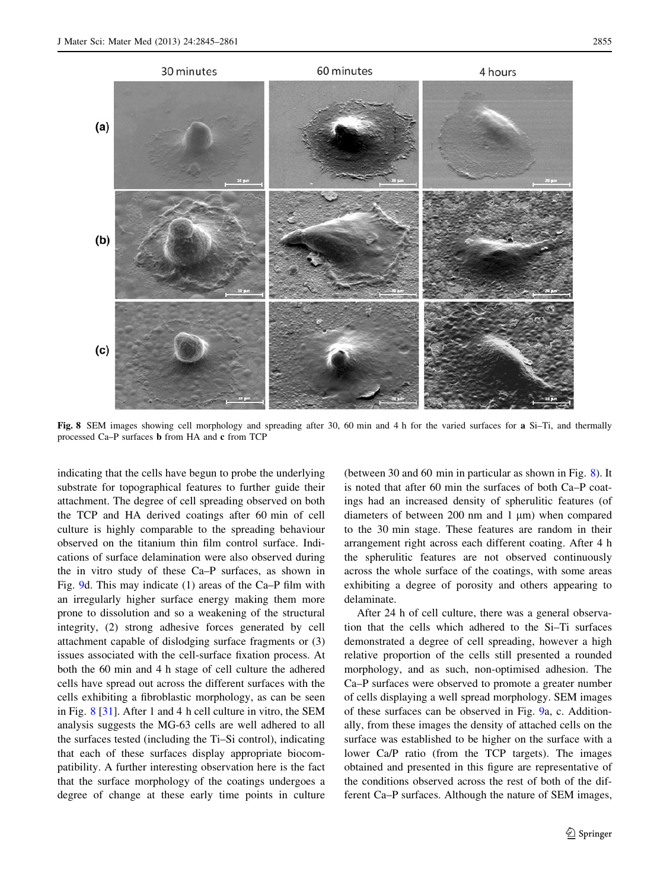<span id="page-10-0"></span>

Fig. 8 SEM images showing cell morphology and spreading after 30, 60 min and 4 h for the varied surfaces for a Si–Ti, and thermally processed Ca–P surfaces b from HA and c from TCP

indicating that the cells have begun to probe the underlying substrate for topographical features to further guide their attachment. The degree of cell spreading observed on both the TCP and HA derived coatings after 60 min of cell culture is highly comparable to the spreading behaviour observed on the titanium thin film control surface. Indications of surface delamination were also observed during the in vitro study of these Ca–P surfaces, as shown in Fig. [9](#page-11-0)d. This may indicate (1) areas of the Ca–P film with an irregularly higher surface energy making them more prone to dissolution and so a weakening of the structural integrity, (2) strong adhesive forces generated by cell attachment capable of dislodging surface fragments or (3) issues associated with the cell-surface fixation process. At both the 60 min and 4 h stage of cell culture the adhered cells have spread out across the different surfaces with the cells exhibiting a fibroblastic morphology, as can be seen in Fig. 8 [\[31](#page-16-0)]. After 1 and 4 h cell culture in vitro, the SEM analysis suggests the MG-63 cells are well adhered to all the surfaces tested (including the Ti–Si control), indicating that each of these surfaces display appropriate biocompatibility. A further interesting observation here is the fact that the surface morphology of the coatings undergoes a degree of change at these early time points in culture

(between 30 and 60 min in particular as shown in Fig. 8). It is noted that after 60 min the surfaces of both Ca–P coatings had an increased density of spherulitic features (of diameters of between  $200$  nm and  $1 \mu m$ ) when compared to the 30 min stage. These features are random in their arrangement right across each different coating. After 4 h the spherulitic features are not observed continuously across the whole surface of the coatings, with some areas exhibiting a degree of porosity and others appearing to delaminate.

After 24 h of cell culture, there was a general observation that the cells which adhered to the Si–Ti surfaces demonstrated a degree of cell spreading, however a high relative proportion of the cells still presented a rounded morphology, and as such, non-optimised adhesion. The Ca–P surfaces were observed to promote a greater number of cells displaying a well spread morphology. SEM images of these surfaces can be observed in Fig. [9](#page-11-0)a, c. Additionally, from these images the density of attached cells on the surface was established to be higher on the surface with a lower Ca/P ratio (from the TCP targets). The images obtained and presented in this figure are representative of the conditions observed across the rest of both of the different Ca–P surfaces. Although the nature of SEM images,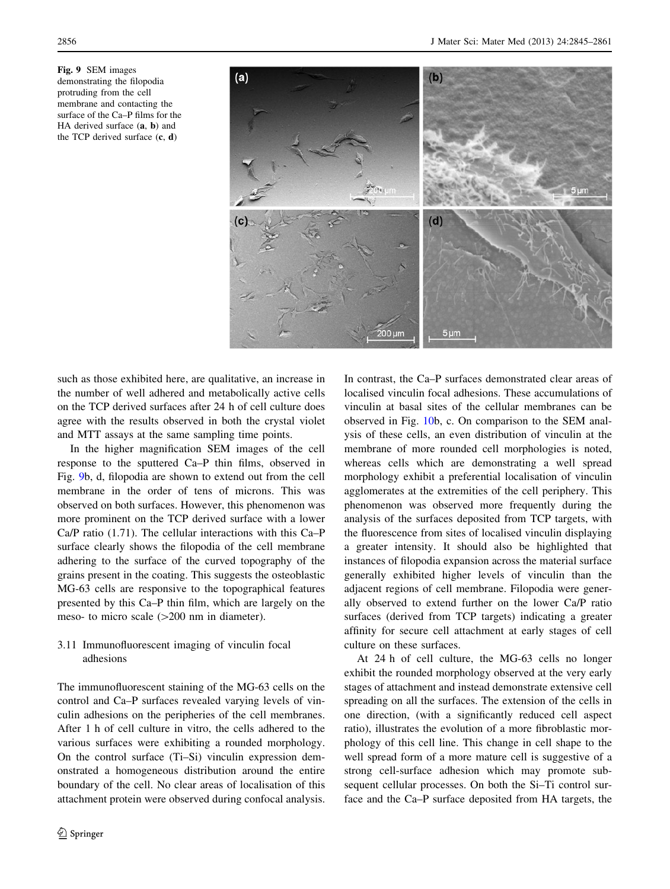<span id="page-11-0"></span>Fig. 9 SEM images demonstrating the filopodia protruding from the cell membrane and contacting the surface of the Ca–P films for the HA derived surface (a, b) and the TCP derived surface (c, d)



such as those exhibited here, are qualitative, an increase in the number of well adhered and metabolically active cells on the TCP derived surfaces after 24 h of cell culture does agree with the results observed in both the crystal violet and MTT assays at the same sampling time points.

In the higher magnification SEM images of the cell response to the sputtered Ca–P thin films, observed in Fig. 9b, d, filopodia are shown to extend out from the cell membrane in the order of tens of microns. This was observed on both surfaces. However, this phenomenon was more prominent on the TCP derived surface with a lower Ca/P ratio (1.71). The cellular interactions with this Ca–P surface clearly shows the filopodia of the cell membrane adhering to the surface of the curved topography of the grains present in the coating. This suggests the osteoblastic MG-63 cells are responsive to the topographical features presented by this Ca–P thin film, which are largely on the meso- to micro scale  $(>=200 \text{ nm in diameter}).$ 

# 3.11 Immunofluorescent imaging of vinculin focal adhesions

The immunofluorescent staining of the MG-63 cells on the control and Ca–P surfaces revealed varying levels of vinculin adhesions on the peripheries of the cell membranes. After 1 h of cell culture in vitro, the cells adhered to the various surfaces were exhibiting a rounded morphology. On the control surface (Ti–Si) vinculin expression demonstrated a homogeneous distribution around the entire boundary of the cell. No clear areas of localisation of this attachment protein were observed during confocal analysis.

In contrast, the Ca–P surfaces demonstrated clear areas of localised vinculin focal adhesions. These accumulations of vinculin at basal sites of the cellular membranes can be observed in Fig. [10](#page-12-0)b, c. On comparison to the SEM analysis of these cells, an even distribution of vinculin at the membrane of more rounded cell morphologies is noted, whereas cells which are demonstrating a well spread morphology exhibit a preferential localisation of vinculin agglomerates at the extremities of the cell periphery. This phenomenon was observed more frequently during the analysis of the surfaces deposited from TCP targets, with the fluorescence from sites of localised vinculin displaying a greater intensity. It should also be highlighted that instances of filopodia expansion across the material surface generally exhibited higher levels of vinculin than the adjacent regions of cell membrane. Filopodia were generally observed to extend further on the lower Ca/P ratio surfaces (derived from TCP targets) indicating a greater affinity for secure cell attachment at early stages of cell culture on these surfaces.

At 24 h of cell culture, the MG-63 cells no longer exhibit the rounded morphology observed at the very early stages of attachment and instead demonstrate extensive cell spreading on all the surfaces. The extension of the cells in one direction, (with a significantly reduced cell aspect ratio), illustrates the evolution of a more fibroblastic morphology of this cell line. This change in cell shape to the well spread form of a more mature cell is suggestive of a strong cell-surface adhesion which may promote subsequent cellular processes. On both the Si–Ti control surface and the Ca–P surface deposited from HA targets, the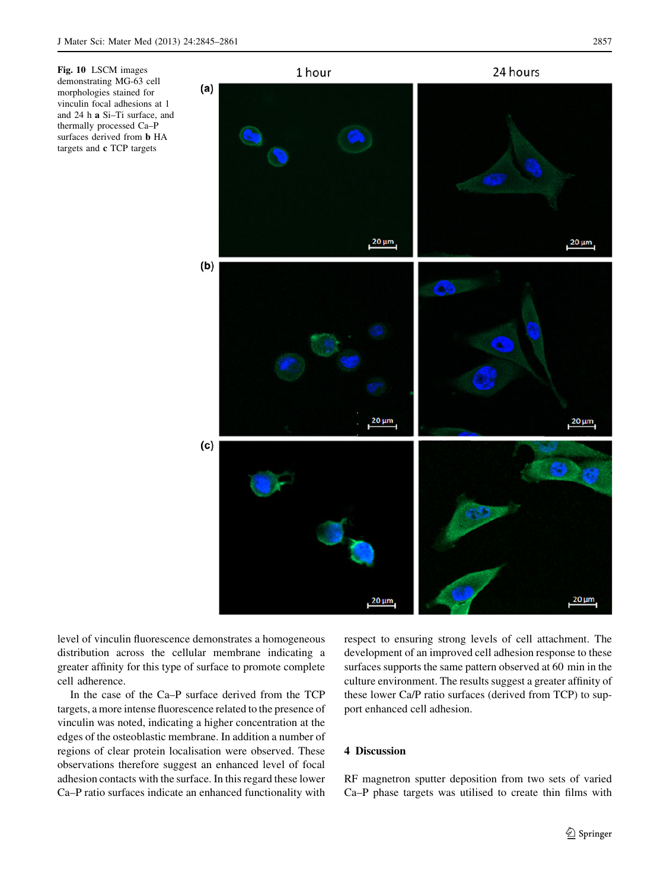<span id="page-12-0"></span>

level of vinculin fluorescence demonstrates a homogeneous distribution across the cellular membrane indicating a greater affinity for this type of surface to promote complete cell adherence.

In the case of the Ca–P surface derived from the TCP targets, a more intense fluorescence related to the presence of vinculin was noted, indicating a higher concentration at the edges of the osteoblastic membrane. In addition a number of regions of clear protein localisation were observed. These observations therefore suggest an enhanced level of focal adhesion contacts with the surface. In this regard these lower Ca–P ratio surfaces indicate an enhanced functionality with respect to ensuring strong levels of cell attachment. The development of an improved cell adhesion response to these surfaces supports the same pattern observed at 60 min in the culture environment. The results suggest a greater affinity of these lower Ca/P ratio surfaces (derived from TCP) to support enhanced cell adhesion.

# 4 Discussion

RF magnetron sputter deposition from two sets of varied Ca–P phase targets was utilised to create thin films with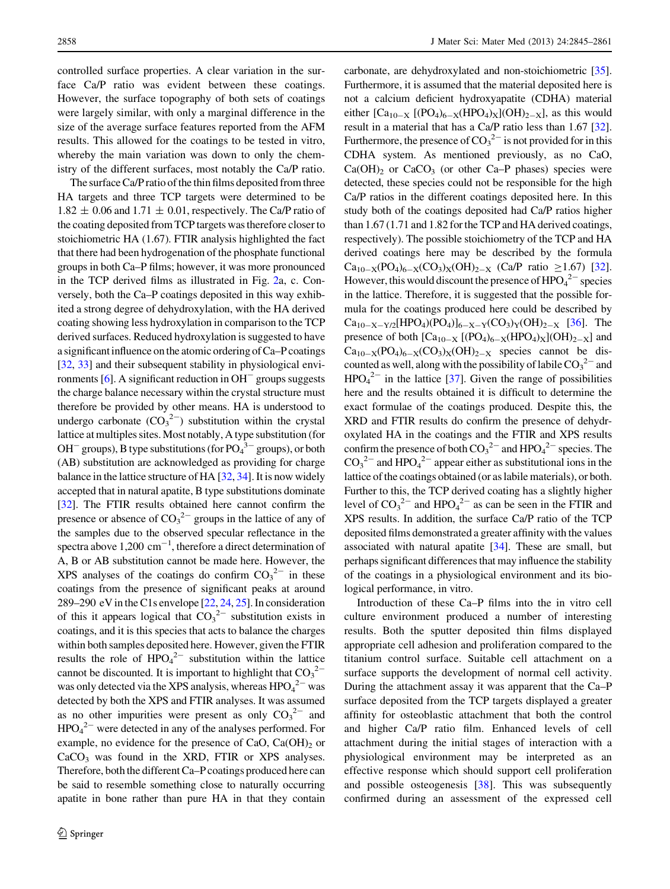controlled surface properties. A clear variation in the surface Ca/P ratio was evident between these coatings. However, the surface topography of both sets of coatings were largely similar, with only a marginal difference in the size of the average surface features reported from the AFM results. This allowed for the coatings to be tested in vitro, whereby the main variation was down to only the chemistry of the different surfaces, most notably the Ca/P ratio.

The surface Ca/P ratio of the thin films deposited from three HA targets and three TCP targets were determined to be  $1.82 \pm 0.06$  and  $1.71 \pm 0.01$ , respectively. The Ca/P ratio of the coating deposited from TCP targets was therefore closer to stoichiometric HA (1.67). FTIR analysis highlighted the fact that there had been hydrogenation of the phosphate functional groups in both Ca–P films; however, it was more pronounced in the TCP derived films as illustrated in Fig. [2a](#page-5-0), c. Conversely, both the Ca–P coatings deposited in this way exhibited a strong degree of dehydroxylation, with the HA derived coating showing less hydroxylation in comparison to the TCP derived surfaces. Reduced hydroxylation is suggested to have a significant influence on the atomic ordering of Ca–P coatings [\[32](#page-16-0), [33](#page-16-0)] and their subsequent stability in physiological environments  $[6]$  $[6]$ . A significant reduction in  $OH^-$  groups suggests the charge balance necessary within the crystal structure must therefore be provided by other means. HA is understood to undergo carbonate  $(CO_3^2)$  substitution within the crystal lattice at multiples sites. Most notably, A type substitution (for  $OH^-$  groups), B type substitutions (for  $PO_4^3$ <sup>-3</sup> groups), or both (AB) substitution are acknowledged as providing for charge balance in the lattice structure of HA [[32](#page-16-0), [34](#page-16-0)]. It is now widely accepted that in natural apatite, B type substitutions dominate [\[32](#page-16-0)]. The FTIR results obtained here cannot confirm the presence or absence of  $CO_3^2$  groups in the lattice of any of the samples due to the observed specular reflectance in the spectra above  $1,200 \text{ cm}^{-1}$ , therefore a direct determination of A, B or AB substitution cannot be made here. However, the XPS analyses of the coatings do confirm  $CO_3^2$  in these coatings from the presence of significant peaks at around 289–290 eV in the C1s envelope [[22,](#page-16-0) [24](#page-16-0), [25](#page-16-0)]. In consideration of this it appears logical that  $CO_3^2$  substitution exists in coatings, and it is this species that acts to balance the charges within both samples deposited here. However, given the FTIR results the role of  $HPO<sub>4</sub><sup>2–</sup>$  substitution within the lattice cannot be discounted. It is important to highlight that  $CO_3^2$ <sup>-</sup> was only detected via the XPS analysis, whereas  $HPO_4^2$  was detected by both the XPS and FTIR analyses. It was assumed as no other impurities were present as only  $CO_3^2$  and  $HPO<sub>4</sub><sup>2–</sup>$  were detected in any of the analyses performed. For example, no evidence for the presence of CaO,  $Ca(OH)_{2}$  or  $CaCO<sub>3</sub>$  was found in the XRD, FTIR or XPS analyses. Therefore, both the different Ca–P coatings produced here can be said to resemble something close to naturally occurring apatite in bone rather than pure HA in that they contain carbonate, are dehydroxylated and non-stoichiometric [[35\]](#page-16-0). Furthermore, it is assumed that the material deposited here is not a calcium deficient hydroxyapatite (CDHA) material either  $[Ca_{10-X} [(PO_4)_{6-X} (HPO_4)_X](OH)_{2-X}$ , as this would result in a material that has a Ca/P ratio less than 1.67 [[32\]](#page-16-0). Furthermore, the presence of  $CO_3^2$  is not provided for in this CDHA system. As mentioned previously, as no CaO,  $Ca(OH)_2$  or  $CaCO_3$  (or other Ca–P phases) species were detected, these species could not be responsible for the high Ca/P ratios in the different coatings deposited here. In this study both of the coatings deposited had Ca/P ratios higher than 1.67 (1.71 and 1.82 for the TCP and HA derived coatings, respectively). The possible stoichiometry of the TCP and HA derived coatings here may be described by the formula  $Ca_{10-X}(PO_4)_{6-X}(CO_3)_X(OH)_{2-X}$  (Ca/P ratio  $\geq$  1.67) [[32\]](#page-16-0). However, this would discount the presence of  $HPO_4^2$ <sup>-</sup> species in the lattice. Therefore, it is suggested that the possible formula for the coatings produced here could be described by  $Ca_{10-X-Y/2}[HPO_4)(PO_4)]_{6-X-Y}(CO_3)_Y(OH)_{2-X}$  [\[36\]](#page-16-0). The presence of both  $\text{[Ca}_{10-X} \text{[(PO<sub>4</sub>)<sub>6-X</sub>(HPO<sub>4</sub>)<sub>X</sub>](OH)<sub>2-X</sub>}$  and  $Ca_{10-X}(PO_4)_{6-X}(CO_3)_X(OH)_{2-X}$  species cannot be discounted as well, along with the possibility of labile  $CO_3^2$  and  $HPO<sub>4</sub><sup>2-</sup>$  in the lattice [\[37](#page-16-0)]. Given the range of possibilities here and the results obtained it is difficult to determine the exact formulae of the coatings produced. Despite this, the XRD and FTIR results do confirm the presence of dehydroxylated HA in the coatings and the FTIR and XPS results confirm the presence of both  $CO_3^2$  and  $HPO_4^2$  species. The  $CO_3^2$ <sup>-</sup> and HPO<sub>4</sub><sup>2-</sup> appear either as substitutional ions in the lattice of the coatings obtained (or as labile materials), or both. Further to this, the TCP derived coating has a slightly higher level of  $CO_3^2$ <sup>-</sup> and  $HPO_4^2$ <sup>-</sup> as can be seen in the FTIR and XPS results. In addition, the surface Ca/P ratio of the TCP deposited films demonstrated a greater affinity with the values associated with natural apatite [[34](#page-16-0)]. These are small, but perhaps significant differences that may influence the stability of the coatings in a physiological environment and its biological performance, in vitro.

Introduction of these Ca–P films into the in vitro cell culture environment produced a number of interesting results. Both the sputter deposited thin films displayed appropriate cell adhesion and proliferation compared to the titanium control surface. Suitable cell attachment on a surface supports the development of normal cell activity. During the attachment assay it was apparent that the Ca–P surface deposited from the TCP targets displayed a greater affinity for osteoblastic attachment that both the control and higher Ca/P ratio film. Enhanced levels of cell attachment during the initial stages of interaction with a physiological environment may be interpreted as an effective response which should support cell proliferation and possible osteogenesis [\[38](#page-16-0)]. This was subsequently confirmed during an assessment of the expressed cell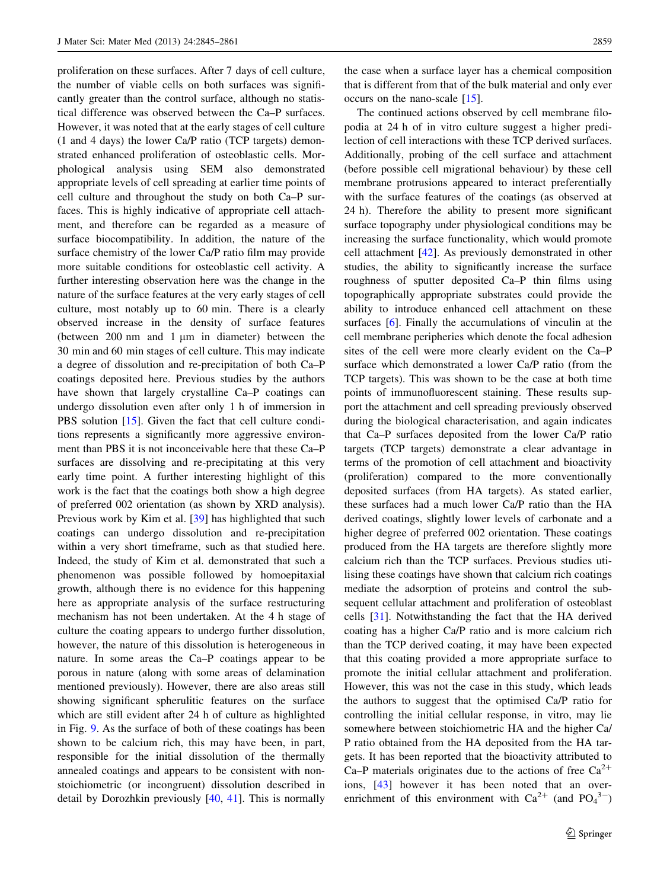proliferation on these surfaces. After 7 days of cell culture, the number of viable cells on both surfaces was significantly greater than the control surface, although no statistical difference was observed between the Ca–P surfaces. However, it was noted that at the early stages of cell culture (1 and 4 days) the lower Ca/P ratio (TCP targets) demonstrated enhanced proliferation of osteoblastic cells. Morphological analysis using SEM also demonstrated appropriate levels of cell spreading at earlier time points of cell culture and throughout the study on both Ca–P surfaces. This is highly indicative of appropriate cell attachment, and therefore can be regarded as a measure of surface biocompatibility. In addition, the nature of the surface chemistry of the lower Ca/P ratio film may provide more suitable conditions for osteoblastic cell activity. A further interesting observation here was the change in the nature of the surface features at the very early stages of cell culture, most notably up to 60 min. There is a clearly observed increase in the density of surface features (between  $200 \text{ nm}$  and  $1 \mu \text{m}$  in diameter) between the 30 min and 60 min stages of cell culture. This may indicate a degree of dissolution and re-precipitation of both Ca–P coatings deposited here. Previous studies by the authors have shown that largely crystalline Ca–P coatings can undergo dissolution even after only 1 h of immersion in PBS solution [[15\]](#page-16-0). Given the fact that cell culture conditions represents a significantly more aggressive environment than PBS it is not inconceivable here that these Ca–P surfaces are dissolving and re-precipitating at this very early time point. A further interesting highlight of this work is the fact that the coatings both show a high degree of preferred 002 orientation (as shown by XRD analysis). Previous work by Kim et al. [[39\]](#page-16-0) has highlighted that such coatings can undergo dissolution and re-precipitation within a very short timeframe, such as that studied here. Indeed, the study of Kim et al. demonstrated that such a phenomenon was possible followed by homoepitaxial growth, although there is no evidence for this happening here as appropriate analysis of the surface restructuring mechanism has not been undertaken. At the 4 h stage of culture the coating appears to undergo further dissolution, however, the nature of this dissolution is heterogeneous in nature. In some areas the Ca–P coatings appear to be porous in nature (along with some areas of delamination mentioned previously). However, there are also areas still showing significant spherulitic features on the surface which are still evident after 24 h of culture as highlighted in Fig. [9.](#page-11-0) As the surface of both of these coatings has been shown to be calcium rich, this may have been, in part, responsible for the initial dissolution of the thermally annealed coatings and appears to be consistent with nonstoichiometric (or incongruent) dissolution described in detail by Dorozhkin previously [[40,](#page-16-0) [41\]](#page-16-0). This is normally

the case when a surface layer has a chemical composition that is different from that of the bulk material and only ever occurs on the nano-scale [[15\]](#page-16-0).

The continued actions observed by cell membrane filopodia at 24 h of in vitro culture suggest a higher predilection of cell interactions with these TCP derived surfaces. Additionally, probing of the cell surface and attachment (before possible cell migrational behaviour) by these cell membrane protrusions appeared to interact preferentially with the surface features of the coatings (as observed at 24 h). Therefore the ability to present more significant surface topography under physiological conditions may be increasing the surface functionality, which would promote cell attachment [\[42](#page-16-0)]. As previously demonstrated in other studies, the ability to significantly increase the surface roughness of sputter deposited Ca–P thin films using topographically appropriate substrates could provide the ability to introduce enhanced cell attachment on these surfaces [\[6](#page-15-0)]. Finally the accumulations of vinculin at the cell membrane peripheries which denote the focal adhesion sites of the cell were more clearly evident on the Ca–P surface which demonstrated a lower Ca/P ratio (from the TCP targets). This was shown to be the case at both time points of immunofluorescent staining. These results support the attachment and cell spreading previously observed during the biological characterisation, and again indicates that Ca–P surfaces deposited from the lower Ca/P ratio targets (TCP targets) demonstrate a clear advantage in terms of the promotion of cell attachment and bioactivity (proliferation) compared to the more conventionally deposited surfaces (from HA targets). As stated earlier, these surfaces had a much lower Ca/P ratio than the HA derived coatings, slightly lower levels of carbonate and a higher degree of preferred 002 orientation. These coatings produced from the HA targets are therefore slightly more calcium rich than the TCP surfaces. Previous studies utilising these coatings have shown that calcium rich coatings mediate the adsorption of proteins and control the subsequent cellular attachment and proliferation of osteoblast cells [\[31](#page-16-0)]. Notwithstanding the fact that the HA derived coating has a higher Ca/P ratio and is more calcium rich than the TCP derived coating, it may have been expected that this coating provided a more appropriate surface to promote the initial cellular attachment and proliferation. However, this was not the case in this study, which leads the authors to suggest that the optimised Ca/P ratio for controlling the initial cellular response, in vitro, may lie somewhere between stoichiometric HA and the higher Ca/ P ratio obtained from the HA deposited from the HA targets. It has been reported that the bioactivity attributed to Ca–P materials originates due to the actions of free  $Ca^{2+}$ ions, [[43](#page-16-0)] however it has been noted that an overenrichment of this environment with  $Ca^{2+}$  (and  $PO<sub>4</sub><sup>3-</sup>$ )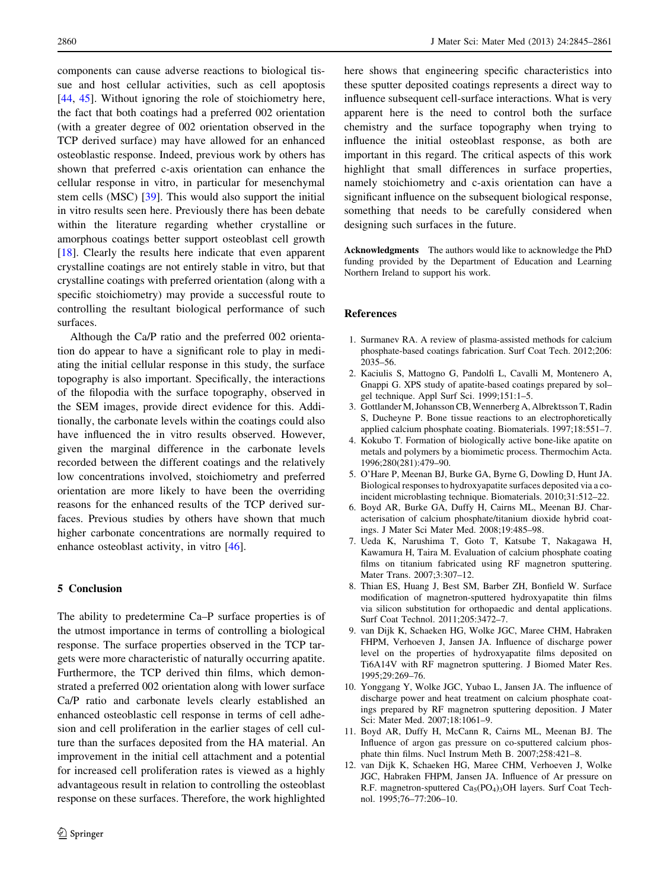<span id="page-15-0"></span>components can cause adverse reactions to biological tissue and host cellular activities, such as cell apoptosis [\[44](#page-16-0), [45](#page-16-0)]. Without ignoring the role of stoichiometry here, the fact that both coatings had a preferred 002 orientation (with a greater degree of 002 orientation observed in the TCP derived surface) may have allowed for an enhanced osteoblastic response. Indeed, previous work by others has shown that preferred c-axis orientation can enhance the cellular response in vitro, in particular for mesenchymal stem cells (MSC) [\[39](#page-16-0)]. This would also support the initial in vitro results seen here. Previously there has been debate within the literature regarding whether crystalline or amorphous coatings better support osteoblast cell growth [\[18](#page-16-0)]. Clearly the results here indicate that even apparent crystalline coatings are not entirely stable in vitro, but that crystalline coatings with preferred orientation (along with a specific stoichiometry) may provide a successful route to controlling the resultant biological performance of such surfaces.

Although the Ca/P ratio and the preferred 002 orientation do appear to have a significant role to play in mediating the initial cellular response in this study, the surface topography is also important. Specifically, the interactions of the filopodia with the surface topography, observed in the SEM images, provide direct evidence for this. Additionally, the carbonate levels within the coatings could also have influenced the in vitro results observed. However, given the marginal difference in the carbonate levels recorded between the different coatings and the relatively low concentrations involved, stoichiometry and preferred orientation are more likely to have been the overriding reasons for the enhanced results of the TCP derived surfaces. Previous studies by others have shown that much higher carbonate concentrations are normally required to enhance osteoblast activity, in vitro [\[46](#page-16-0)].

# 5 Conclusion

The ability to predetermine Ca–P surface properties is of the utmost importance in terms of controlling a biological response. The surface properties observed in the TCP targets were more characteristic of naturally occurring apatite. Furthermore, the TCP derived thin films, which demonstrated a preferred 002 orientation along with lower surface Ca/P ratio and carbonate levels clearly established an enhanced osteoblastic cell response in terms of cell adhesion and cell proliferation in the earlier stages of cell culture than the surfaces deposited from the HA material. An improvement in the initial cell attachment and a potential for increased cell proliferation rates is viewed as a highly advantageous result in relation to controlling the osteoblast response on these surfaces. Therefore, the work highlighted here shows that engineering specific characteristics into these sputter deposited coatings represents a direct way to influence subsequent cell-surface interactions. What is very apparent here is the need to control both the surface chemistry and the surface topography when trying to influence the initial osteoblast response, as both are important in this regard. The critical aspects of this work highlight that small differences in surface properties, namely stoichiometry and c-axis orientation can have a significant influence on the subsequent biological response, something that needs to be carefully considered when designing such surfaces in the future.

Acknowledgments The authors would like to acknowledge the PhD funding provided by the Department of Education and Learning Northern Ireland to support his work.

## References

- 1. Surmanev RA. A review of plasma-assisted methods for calcium phosphate-based coatings fabrication. Surf Coat Tech. 2012;206: 2035–56.
- 2. Kaciulis S, Mattogno G, Pandolfi L, Cavalli M, Montenero A, Gnappi G. XPS study of apatite-based coatings prepared by sol– gel technique. Appl Surf Sci. 1999;151:1–5.
- 3. Gottlander M, Johansson CB, Wennerberg A, Albrektsson T, Radin S, Ducheyne P. Bone tissue reactions to an electrophoretically applied calcium phosphate coating. Biomaterials. 1997;18:551–7.
- 4. Kokubo T. Formation of biologically active bone-like apatite on metals and polymers by a biomimetic process. Thermochim Acta. 1996;280(281):479–90.
- 5. O'Hare P, Meenan BJ, Burke GA, Byrne G, Dowling D, Hunt JA. Biological responses to hydroxyapatite surfaces deposited via a coincident microblasting technique. Biomaterials. 2010;31:512–22.
- 6. Boyd AR, Burke GA, Duffy H, Cairns ML, Meenan BJ. Characterisation of calcium phosphate/titanium dioxide hybrid coatings. J Mater Sci Mater Med. 2008;19:485–98.
- 7. Ueda K, Narushima T, Goto T, Katsube T, Nakagawa H, Kawamura H, Taira M. Evaluation of calcium phosphate coating films on titanium fabricated using RF magnetron sputtering. Mater Trans. 2007;3:307–12.
- 8. Thian ES, Huang J, Best SM, Barber ZH, Bonfield W. Surface modification of magnetron-sputtered hydroxyapatite thin films via silicon substitution for orthopaedic and dental applications. Surf Coat Technol. 2011;205:3472–7.
- 9. van Dijk K, Schaeken HG, Wolke JGC, Maree CHM, Habraken FHPM, Verhoeven J, Jansen JA. Influence of discharge power level on the properties of hydroxyapatite films deposited on Ti6A14V with RF magnetron sputtering. J Biomed Mater Res. 1995;29:269–76.
- 10. Yonggang Y, Wolke JGC, Yubao L, Jansen JA. The influence of discharge power and heat treatment on calcium phosphate coatings prepared by RF magnetron sputtering deposition. J Mater Sci: Mater Med. 2007;18:1061–9.
- 11. Boyd AR, Duffy H, McCann R, Cairns ML, Meenan BJ. The Influence of argon gas pressure on co-sputtered calcium phosphate thin films. Nucl Instrum Meth B. 2007;258:421–8.
- 12. van Dijk K, Schaeken HG, Maree CHM, Verhoeven J, Wolke JGC, Habraken FHPM, Jansen JA. Influence of Ar pressure on R.F. magnetron-sputtered  $Ca<sub>5</sub>(PO<sub>4</sub>)<sub>3</sub>OH$  layers. Surf Coat Technol. 1995;76–77:206–10.